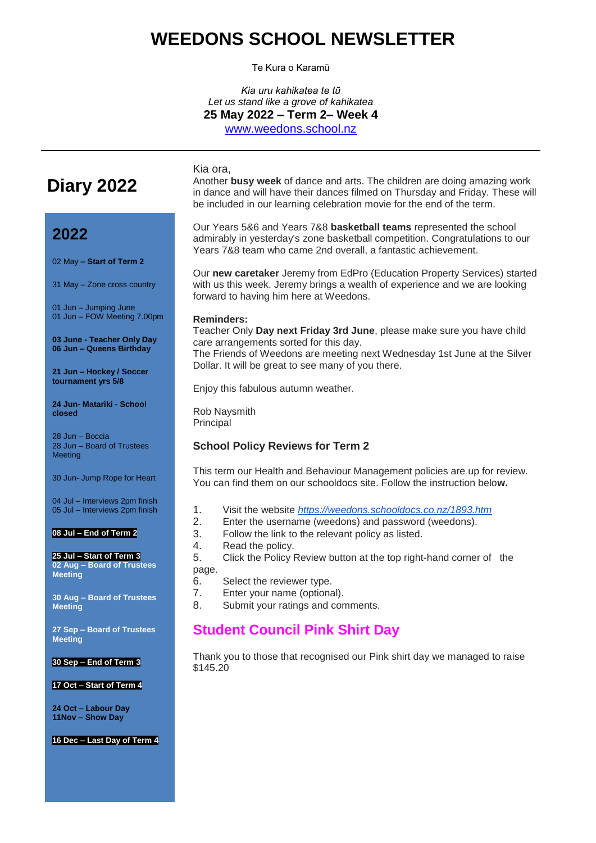# **WEEDONS SCHOOL NEWSLETTER**

Te Kura o Karamū

*Kia uru kahikatea te tũ Let us stand like a grove of kahikatea* **25 May 2022 – Term 2– Week 4** [www.weedons.school.nz](http://www.weedons.school.nz/)

# **Diary 2022**

## **2022**

02 May **– Start of Term 2**

31 May – Zone cross country

01 Jun – Jumping June 01 Jun – FOW Meeting 7.00pm

**03 June - Teacher Only Day 06 Jun – Queens Birthday**

**21 Jun – Hockey / Soccer tournament yrs 5/8**

**24 Jun- Matariki - School closed**

28 Jun – Boccia 28 Jun – Board of Trustees **Meeting** 

30 Jun- Jump Rope for Heart

04 Jul – Interviews 2pm finish 05 Jul – Interviews 2pm finish

#### **08 Jul – End of Term 2**

**25 Jul – Start of Term 3 02 Aug – Board of Trustees Meeting**

**30 Aug – Board of Trustees Meeting**

**27 Sep – Board of Trustees Meeting**

**30 Sep – End of Term 3**

#### **17 Oct – Start of Term 4**

**24 Oct – Labour Day 11Nov – Show Day**

**16 Dec – Last Day of Term 4**

Another **busy week** of dance and arts. The children are doing amazing work in dance and will have their dances filmed on Thursday and Friday. These will be included in our learning celebration movie for the end of the term.

Our Years 5&6 and Years 7&8 **basketball teams** represented the school admirably in yesterday's zone basketball competition. Congratulations to our Years 7&8 team who came 2nd overall, a fantastic achievement.

Our **new caretaker** Jeremy from EdPro (Education Property Services) started with us this week. Jeremy brings a wealth of experience and we are looking forward to having him here at Weedons.

#### **Reminders:**

Kia ora,

Teacher Only **Day next Friday 3rd June**, please make sure you have child care arrangements sorted for this day. The Friends of Weedons are meeting next Wednesday 1st June at the Silver Dollar. It will be great to see many of you there.

Enjoy this fabulous autumn weather.

Rob Naysmith Principal

#### **School Policy Reviews for Term 2**

This term our Health and Behaviour Management policies are up for review. You can find them on our schooldocs site. Follow the instruction belo**w.**

- 1. Visit the website *<https://weedons.schooldocs.co.nz/1893.htm>*
- 2. Enter the username (weedons) and password (weedons).
- 3. Follow the link to the relevant policy as listed.
- 4. Read the policy.
- 5. Click the Policy Review button at the top right-hand corner of the

page.

- 6. Select the reviewer type.
- 7. Enter your name (optional).
- 8. Submit your ratings and comments.

### **Student Council Pink Shirt Day**

Thank you to those that recognised our Pink shirt day we managed to raise \$145.20